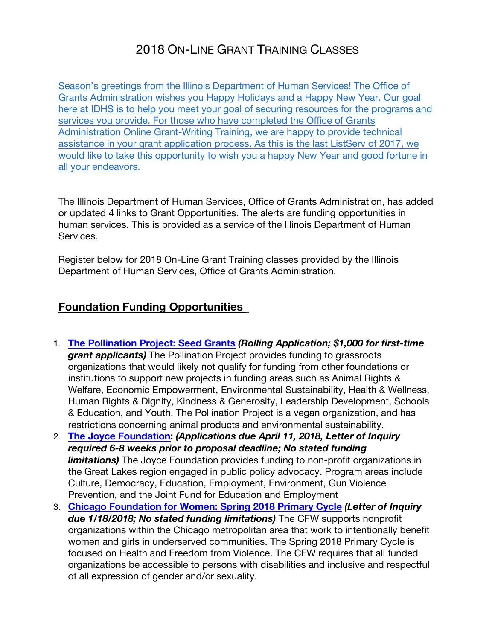# 2018 ON-LINE GRANT TRAINING CLASSES

Season's greetings from the Illinois Department of Human Services! The Office of Grants Administration wishes you Happy Holidays and a Happy New Year. Our goal here at IDHS is to help you meet your goal of securing resources for the programs and services you provide. For those who have completed the Office of Grants Administration Online Grant-Writing Training, we are happy to provide technical assistance in your grant application process. As this is the last ListServ of 2017, we would like to take this opportunity to wish you a happy New Year and good fortune in all your endeavors.

The Illinois Department of Human Services, Office of Grants Administration, has added or updated 4 links to Grant Opportunities. The alerts are funding opportunities in human services. This is provided as a service of the Illinois Department of Human Services.

Register below for 2018 On-Line Grant Training classes provided by the Illinois Department of Human Services, Office of Grants Administration.

### **Foundation Funding Opportunities**

- 1. **The Pollination Project: Seed Grants** *(Rolling Application; \$1,000 for first-time grant applicants)* The Pollination Project provides funding to grassroots organizations that would likely not qualify for funding from other foundations or institutions to support new projects in funding areas such as Animal Rights & Welfare, Economic Empowerment, Environmental Sustainability, Health & Wellness, Human Rights & Dignity, Kindness & Generosity, Leadership Development, Schools & Education, and Youth. The Pollination Project is a vegan organization, and has restrictions concerning animal products and environmental sustainability.
- 2. **The Joyce Foundation:** *(Applications due April 11, 2018, Letter of Inquiry required 6-8 weeks prior to proposal deadline; No stated funding limitations)* The Joyce Foundation provides funding to non-profit organizations in the Great Lakes region engaged in public policy advocacy. Program areas include Culture, Democracy, Education, Employment, Environment, Gun Violence Prevention, and the Joint Fund for Education and Employment
- 3. **Chicago Foundation for Women: Spring 2018 Primary Cycle** *(Letter of Inquiry due 1/18/2018; No stated funding limitations)* The CFW supports nonprofit organizations within the Chicago metropolitan area that work to intentionally benefit women and girls in underserved communities. The Spring 2018 Primary Cycle is focused on Health and Freedom from Violence. The CFW requires that all funded organizations be accessible to persons with disabilities and inclusive and respectful of all expression of gender and/or sexuality.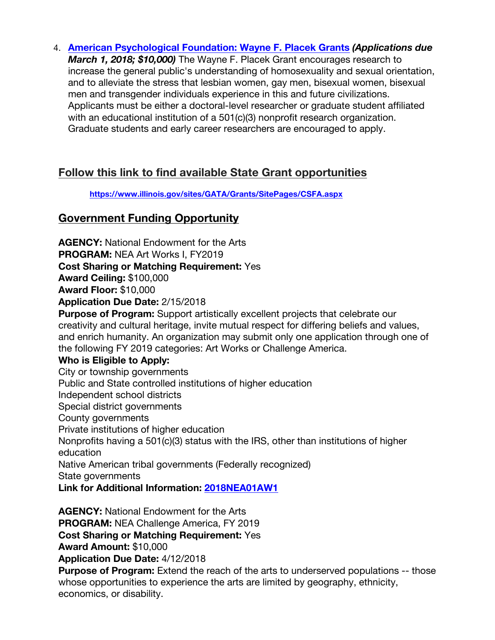4. **American Psychological Foundation: Wayne F. Placek Grants** *(Applications due March 1, 2018; \$10,000)* The Wayne F. Placek Grant encourages research to increase the general public's understanding of homosexuality and sexual orientation, and to alleviate the stress that lesbian women, gay men, bisexual women, bisexual men and transgender individuals experience in this and future civilizations. Applicants must be either a doctoral‐level researcher or graduate student affiliated with an educational institution of a 501(c)(3) nonprofit research organization. Graduate students and early career researchers are encouraged to apply.

## **Follow this link to find available State Grant opportunities**

**https://www.illinois.gov/sites/GATA/Grants/SitePages/CSFA.aspx**

## **Government Funding Opportunity**

**AGENCY:** National Endowment for the Arts **PROGRAM:** NEA Art Works I, FY2019 **Cost Sharing or Matching Requirement:** Yes **Award Ceiling:** \$100,000 **Award Floor:** \$10,000 **Application Due Date:** 2/15/2018 **Purpose of Program:** Support artistically excellent projects that celebrate our creativity and cultural heritage, invite mutual respect for differing beliefs and values, and enrich humanity. An organization may submit only one application through one of the following FY 2019 categories: Art Works or Challenge America. **Who is Eligible to Apply:** City or township governments Public and State controlled institutions of higher education Independent school districts Special district governments County governments Private institutions of higher education Nonprofits having a 501(c)(3) status with the IRS, other than institutions of higher education Native American tribal governments (Federally recognized) State governments **Link for Additional Information: 2018NEA01AW1 AGENCY:** National Endowment for the Arts

**PROGRAM:** NEA Challenge America, FY 2019

**Cost Sharing or Matching Requirement:** Yes

**Award Amount:** \$10,000

**Application Due Date:** 4/12/2018

**Purpose of Program:** Extend the reach of the arts to underserved populations -- those whose opportunities to experience the arts are limited by geography, ethnicity, economics, or disability.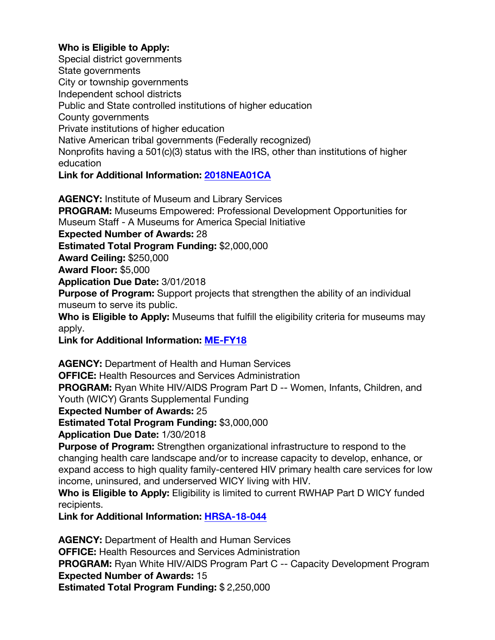#### **Who is Eligible to Apply:**

Special district governments State governments City or township governments Independent school districts Public and State controlled institutions of higher education County governments Private institutions of higher education Native American tribal governments (Federally recognized) Nonprofits having a 501(c)(3) status with the IRS, other than institutions of higher education **Link for Additional Information: 2018NEA01CA**

**AGENCY:** Institute of Museum and Library Services **PROGRAM:** Museums Empowered: Professional Development Opportunities for

Museum Staff - A Museums for America Special Initiative

**Expected Number of Awards:** 28

**Estimated Total Program Funding:** \$2,000,000

**Award Ceiling:** \$250,000

**Award Floor:** \$5,000

**Application Due Date:** 3/01/2018

**Purpose of Program:** Support projects that strengthen the ability of an individual museum to serve its public.

**Who is Eligible to Apply:** Museums that fulfill the eligibility criteria for museums may apply.

**Link for Additional Information: ME-FY18**

**AGENCY:** Department of Health and Human Services

**OFFICE:** Health Resources and Services Administration

**PROGRAM:** Ryan White HIV/AIDS Program Part D -- Women, Infants, Children, and Youth (WICY) Grants Supplemental Funding

**Expected Number of Awards:** 25

**Estimated Total Program Funding:** \$3,000,000

**Application Due Date:** 1/30/2018

**Purpose of Program:** Strengthen organizational infrastructure to respond to the changing health care landscape and/or to increase capacity to develop, enhance, or expand access to high quality family-centered HIV primary health care services for low income, uninsured, and underserved WICY living with HIV.

**Who is Eligible to Apply:** Eligibility is limited to current RWHAP Part D WICY funded recipients.

**Link for Additional Information: HRSA-18-044**

**AGENCY:** Department of Health and Human Services **OFFICE:** Health Resources and Services Administration **PROGRAM:** Ryan White HIV/AIDS Program Part C -- Capacity Development Program **Expected Number of Awards:** 15 **Estimated Total Program Funding:** \$ 2,250,000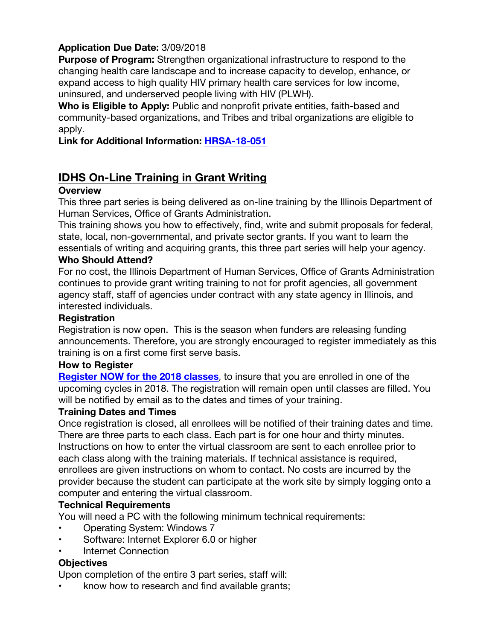#### **Application Due Date:** 3/09/2018

**Purpose of Program:** Strengthen organizational infrastructure to respond to the changing health care landscape and to increase capacity to develop, enhance, or expand access to high quality HIV primary health care services for low income, uninsured, and underserved people living with HIV (PLWH).

**Who is Eligible to Apply:** Public and nonprofit private entities, faith-based and community-based organizations, and Tribes and tribal organizations are eligible to apply.

**Link for Additional Information: HRSA-18-051**

### **IDHS On-Line Training in Grant Writing**

#### **Overview**

This three part series is being delivered as on-line training by the Illinois Department of Human Services, Office of Grants Administration.

This training shows you how to effectively, find, write and submit proposals for federal, state, local, non-governmental, and private sector grants. If you want to learn the essentials of writing and acquiring grants, this three part series will help your agency.

#### **Who Should Attend?**

For no cost, the Illinois Department of Human Services, Office of Grants Administration continues to provide grant writing training to not for profit agencies, all government agency staff, staff of agencies under contract with any state agency in Illinois, and interested individuals.

#### **Registration**

Registration is now open. This is the season when funders are releasing funding announcements. Therefore, you are strongly encouraged to register immediately as this training is on a first come first serve basis.

#### **How to Register**

**Register NOW for the 2018 classes**, to insure that you are enrolled in one of the upcoming cycles in 2018. The registration will remain open until classes are filled. You will be notified by email as to the dates and times of your training.

#### **Training Dates and Times**

Once registration is closed, all enrollees will be notified of their training dates and time. There are three parts to each class. Each part is for one hour and thirty minutes. Instructions on how to enter the virtual classroom are sent to each enrollee prior to each class along with the training materials. If technical assistance is required, enrollees are given instructions on whom to contact. No costs are incurred by the provider because the student can participate at the work site by simply logging onto a computer and entering the virtual classroom.

### **Technical Requirements**

You will need a PC with the following minimum technical requirements:

- Operating System: Windows 7
- Software: Internet Explorer 6.0 or higher
- Internet Connection

### **Objectives**

Upon completion of the entire 3 part series, staff will:

• know how to research and find available grants;